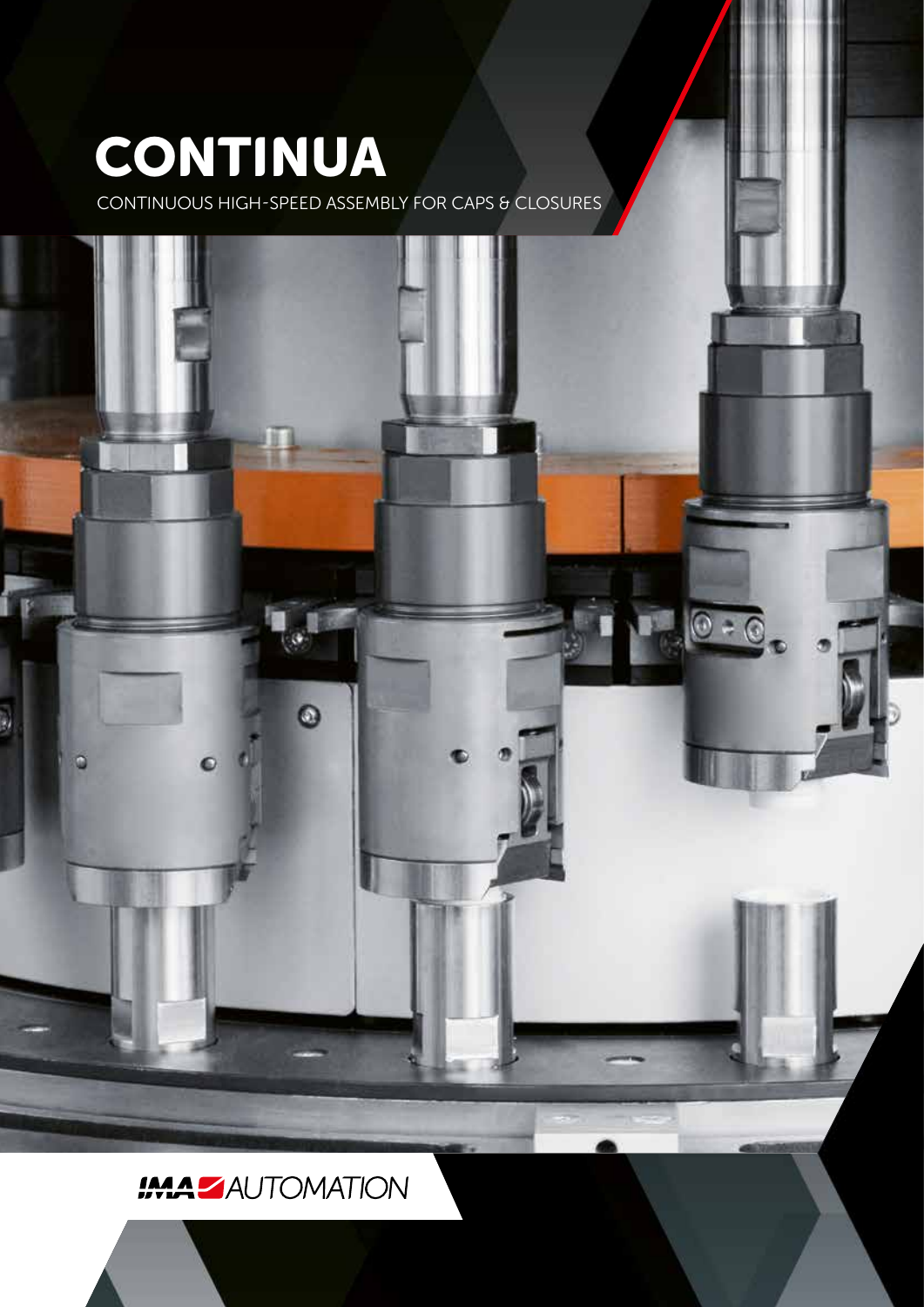# **CONTINUA**

CONTINUOUS HIGH-SPEED ASSEMBLY FOR CAPS & CLOSURES



### **IMA ZAUTOMATION**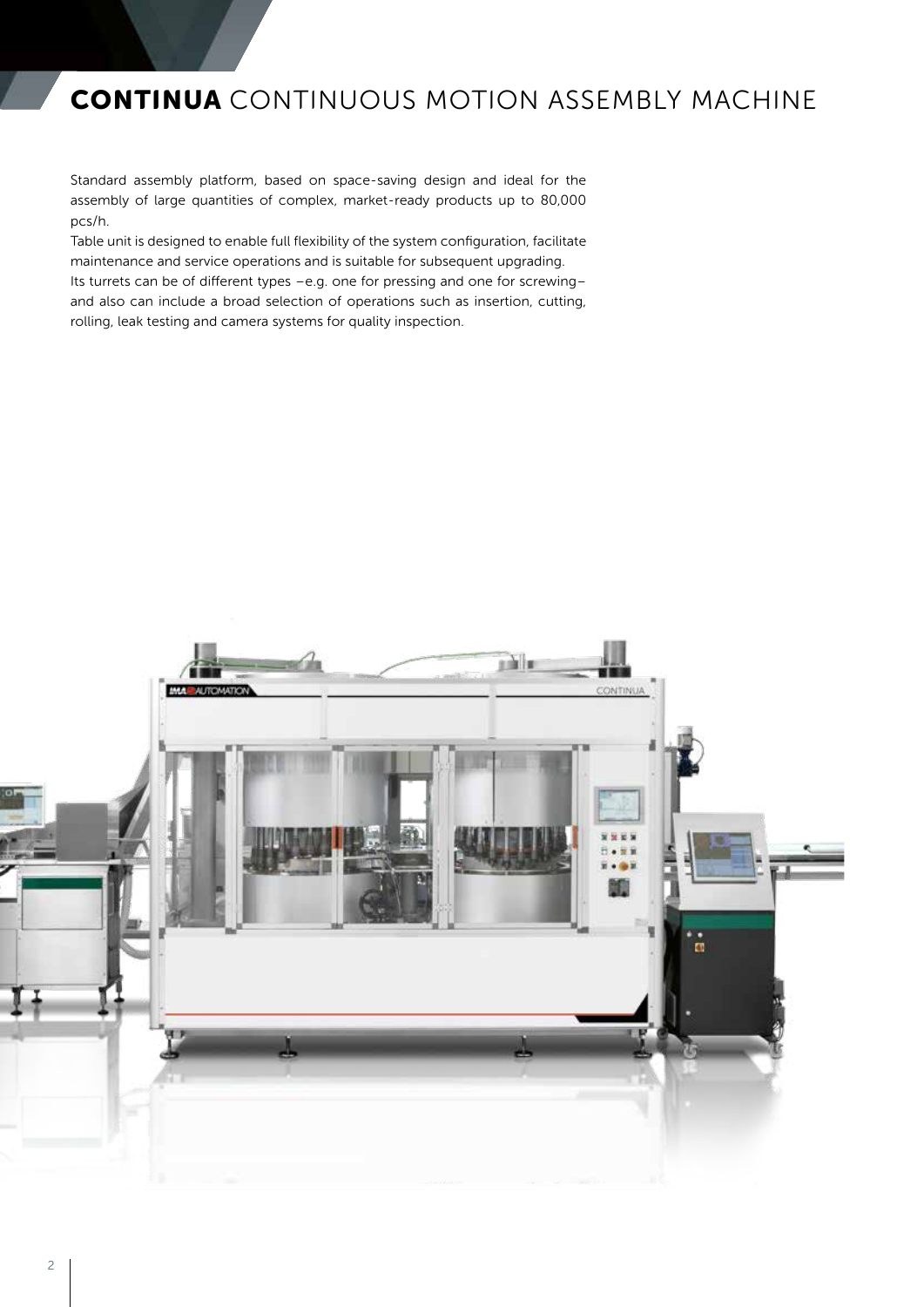### **CONTINUA** CONTINUOUS MOTION ASSEMBLY MACHINE

Standard assembly platform, based on space-saving design and ideal for the assembly of large quantities of complex, market-ready products up to 80,000 pcs/h.

Table unit is designed to enable full flexibility of the system configuration, facilitate maintenance and service operations and is suitable for subsequent upgrading. Its turrets can be of different types –e.g. one for pressing and one for screwing– and also can include a broad selection of operations such as insertion, cutting, rolling, leak testing and camera systems for quality inspection.

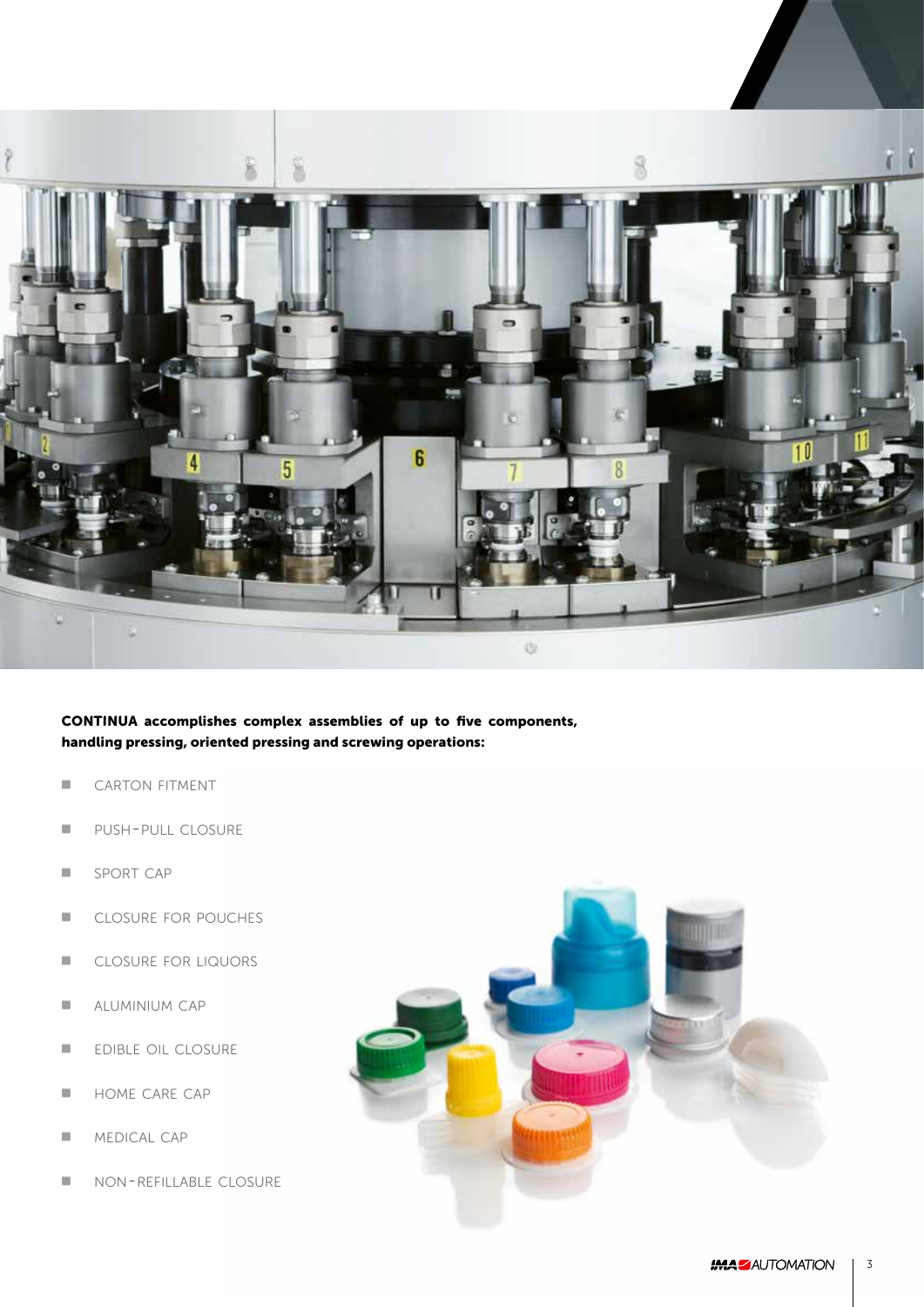

**CONTINUA accomplishes complex assemblies of up to five components, handling pressing, oriented pressing and screwing operations:**

- CARTON FITMENT
- PUSH-PULL CLOSURE
- SPORT CAP
- CLOSURE FOR POUCHES
- CLOSURE FOR LIQUORS
- **E** ALUMINIUM CAP
- EDIBLE OIL CLOSURE
- HOME CARE CAP
- MEDICAL CAP
- NON-REFILLABLE CLOSURE